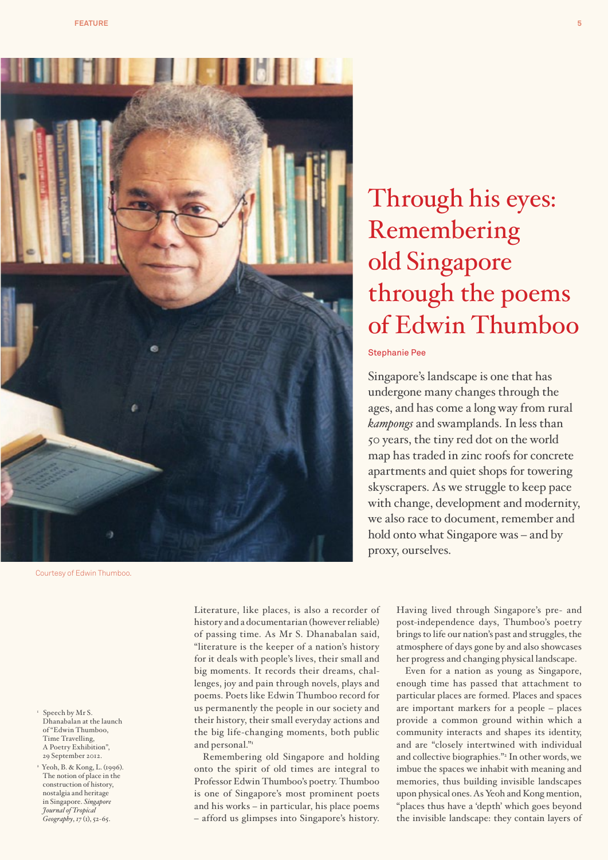

Courtesy of Edwin Thumboo.

1 Speech by Mr S. Dhanabalan at the launch of "Edwin Thumboo, Time Travelling, A Poetry Exhibition", 29 September 2012.

2 Yeoh, B. & Kong, L. (1996). The notion of place in the construction of history, nostalgia and heritage in Singapore. *Singapore Journal of Tropical Geography*, *17* (1), 52-65.

Literature, like places, is also a recorder of history and a documentarian (however reliable) of passing time. As Mr S. Dhanabalan said, "literature is the keeper of a nation's history for it deals with people's lives, their small and big moments. It records their dreams, challenges, joy and pain through novels, plays and poems. Poets like Edwin Thumboo record for us permanently the people in our society and their history, their small everyday actions and the big life-changing moments, both public and personal."

Remembering old Singapore and holding onto the spirit of old times are integral to Professor Edwin Thumboo's poetry. Thumboo is one of Singapore's most prominent poets and his works – in particular, his place poems – afford us glimpses into Singapore's history.

# Through his eyes: Remembering old Singapore through the poems of Edwin Thumboo

### Stephanie Pee

Singapore's landscape is one that has undergone many changes through the ages, and has come a long way from rural *kampongs* and swamplands. In less than 50 years, the tiny red dot on the world map has traded in zinc roofs for concrete apartments and quiet shops for towering skyscrapers. As we struggle to keep pace with change, development and modernity, we also race to document, remember and hold onto what Singapore was – and by proxy, ourselves.

> Having lived through Singapore's pre- and post-independence days, Thumboo's poetry brings to life our nation's past and struggles, the atmosphere of days gone by and also showcases her progress and changing physical landscape.

> Even for a nation as young as Singapore, enough time has passed that attachment to particular places are formed. Places and spaces are important markers for a people – places provide a common ground within which a community interacts and shapes its identity, and are "closely intertwined with individual and collective biographies."2 In other words, we imbue the spaces we inhabit with meaning and memories, thus building invisible landscapes upon physical ones. As Yeoh and Kong mention, "places thus have a 'depth' which goes beyond the invisible landscape: they contain layers of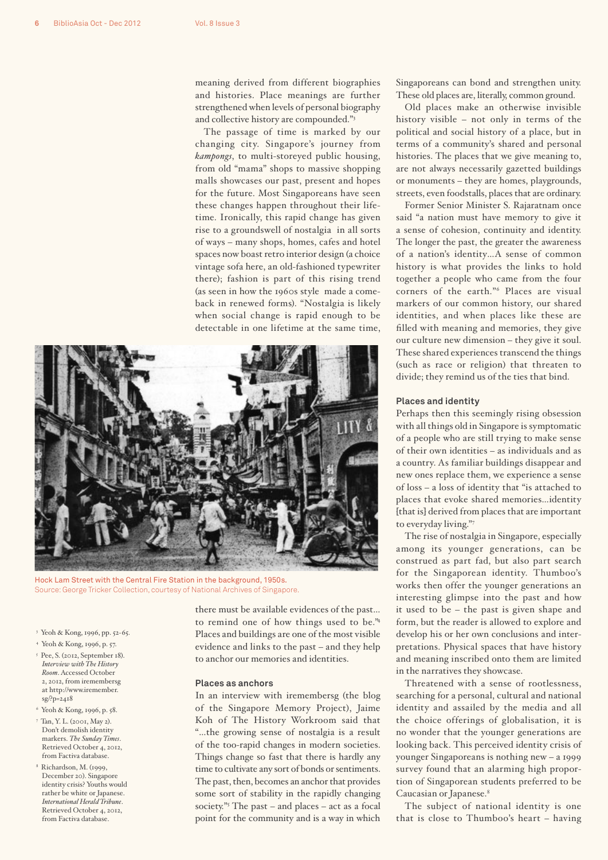meaning derived from different biographies and histories. Place meanings are further strengthened when levels of personal biography and collective history are compounded."3

The passage of time is marked by our changing city. Singapore's journey from *kampongs*, to multi-storeyed public housing, from old "mama" shops to massive shopping malls showcases our past, present and hopes for the future. Most Singaporeans have seen these changes happen throughout their lifetime. Ironically, this rapid change has given rise to a groundswell of nostalgia in all sorts of ways – many shops, homes, cafes and hotel spaces now boast retro interior design (a choice vintage sofa here, an old-fashioned typewriter there); fashion is part of this rising trend (as seen in how the 1960s style made a comeback in renewed forms). "Nostalgia is likely when social change is rapid enough to be detectable in one lifetime at the same time,



Hock Lam Street with the Central Fire Station in the background, 1950s. Source: George Tricker Collection, courtesy of National Archives of Singapore.

3 Yeoh & Kong, 1996, pp. 52-65.

- 4 Yeoh & Kong, 1996, p. 57.
- 5 Pee, S. (2012, September 18). *Interview with The History Room*. Accessed October 2, 2012, from iremembersg at http://www.iremember. sg/?p=2418
- 6 Yeoh & Kong, 1996, p. 58.
- 7 Tan, Y. L. (2001, May 2). Don't demolish identity markers. *The Sunday Times*. Retrieved October 4, 2012, from Factiva database.
- 8 Richardson, M. (1999, December 20). Singapore identity crisis? Youths would rather be white or Japanese. *International Herald Tribune*. Retrieved October 4, 2012, from Factiva database.

there must be available evidences of the past… to remind one of how things used to be."4 Places and buildings are one of the most visible evidence and links to the past – and they help to anchor our memories and identities.

#### **Places as anchors**

In an interview with iremembersg (the blog of the Singapore Memory Project), Jaime Koh of The History Workroom said that "…the growing sense of nostalgia is a result of the too-rapid changes in modern societies. Things change so fast that there is hardly any time to cultivate any sort of bonds or sentiments. The past, then, becomes an anchor that provides some sort of stability in the rapidly changing society."5 The past – and places – act as a focal point for the community and is a way in which

Singaporeans can bond and strengthen unity. These old places are, literally, common ground.

Old places make an otherwise invisible history visible – not only in terms of the political and social history of a place, but in terms of a community's shared and personal histories. The places that we give meaning to, are not always necessarily gazetted buildings or monuments – they are homes, playgrounds, streets, even foodstalls, places that are ordinary.

Former Senior Minister S. Rajaratnam once said "a nation must have memory to give it a sense of cohesion, continuity and identity. The longer the past, the greater the awareness of a nation's identity…A sense of common history is what provides the links to hold together a people who came from the four corners of the earth."6 Places are visual markers of our common history, our shared identities, and when places like these are filled with meaning and memories, they give our culture new dimension – they give it soul. These shared experiences transcend the things (such as race or religion) that threaten to divide; they remind us of the ties that bind.

#### **Places and identity**

Perhaps then this seemingly rising obsession with all things old in Singapore is symptomatic of a people who are still trying to make sense of their own identities – as individuals and as a country. As familiar buildings disappear and new ones replace them, we experience a sense of loss – a loss of identity that "is attached to places that evoke shared memories…identity [that is] derived from places that are important to everyday living."7

The rise of nostalgia in Singapore, especially among its younger generations, can be construed as part fad, but also part search for the Singaporean identity. Thumboo's works then offer the younger generations an interesting glimpse into the past and how it used to be – the past is given shape and form, but the reader is allowed to explore and develop his or her own conclusions and interpretations. Physical spaces that have history and meaning inscribed onto them are limited in the narratives they showcase.

Threatened with a sense of rootlessness, searching for a personal, cultural and national identity and assailed by the media and all the choice offerings of globalisation, it is no wonder that the younger generations are looking back. This perceived identity crisis of younger Singaporeans is nothing new – a 1999 survey found that an alarming high proportion of Singaporean students preferred to be Caucasian or Japanese.8

The subject of national identity is one that is close to Thumboo's heart – having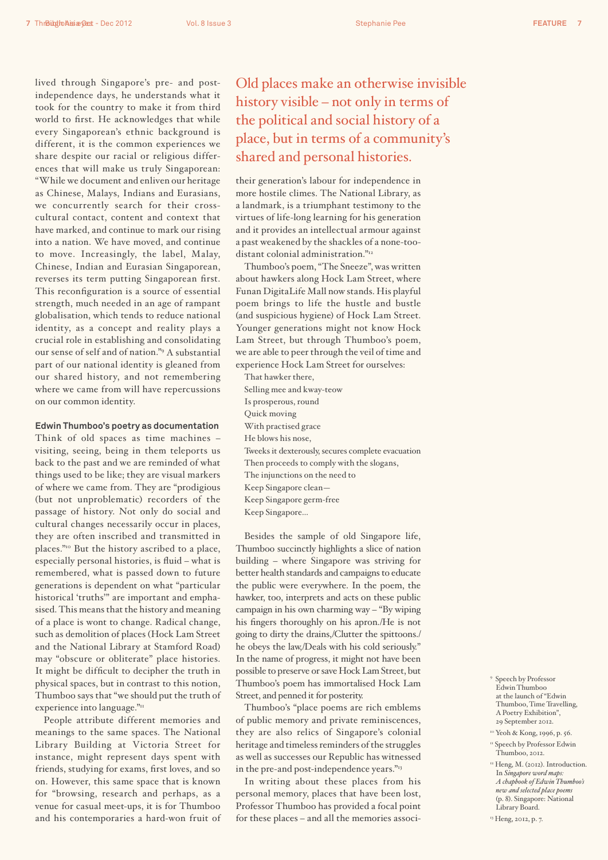lived through Singapore's pre- and postindependence days, he understands what it took for the country to make it from third world to first. He acknowledges that while every Singaporean's ethnic background is different, it is the common experiences we share despite our racial or religious differences that will make us truly Singaporean: "While we document and enliven our heritage as Chinese, Malays, Indians and Eurasians, we concurrently search for their crosscultural contact, content and context that have marked, and continue to mark our rising into a nation. We have moved, and continue to move. Increasingly, the label, Malay, Chinese, Indian and Eurasian Singaporean, reverses its term putting Singaporean first. This reconfiguration is a source of essential strength, much needed in an age of rampant globalisation, which tends to reduce national identity, as a concept and reality plays a crucial role in establishing and consolidating our sense of self and of nation."9 A substantial part of our national identity is gleaned from our shared history, and not remembering where we came from will have repercussions on our common identity.

#### **Edwin Thumboo's poetry as documentation**

Think of old spaces as time machines – visiting, seeing, being in them teleports us back to the past and we are reminded of what things used to be like; they are visual markers of where we came from. They are "prodigious (but not unproblematic) recorders of the passage of history. Not only do social and cultural changes necessarily occur in places, they are often inscribed and transmitted in places."10 But the history ascribed to a place, especially personal histories, is fluid – what is remembered, what is passed down to future generations is dependent on what "particular historical 'truths'" are important and emphasised. This means that the history and meaning of a place is wont to change. Radical change, such as demolition of places (Hock Lam Street and the National Library at Stamford Road) may "obscure or obliterate" place histories. It might be difficult to decipher the truth in physical spaces, but in contrast to this notion, Thumboo says that "we should put the truth of experience into language."11

People attribute different memories and meanings to the same spaces. The National Library Building at Victoria Street for instance, might represent days spent with friends, studying for exams, first loves, and so on. However, this same space that is known for "browsing, research and perhaps, as a venue for casual meet-ups, it is for Thumboo and his contemporaries a hard-won fruit of

## Old places make an otherwise invisible history visible – not only in terms of the political and social history of a place, but in terms of a community's shared and personal histories.

their generation's labour for independence in more hostile climes. The National Library, as a landmark, is a triumphant testimony to the virtues of life-long learning for his generation and it provides an intellectual armour against a past weakened by the shackles of a none-toodistant colonial administration."12

Thumboo's poem, "The Sneeze", was written about hawkers along Hock Lam Street, where Funan DigitaLife Mall now stands. His playful poem brings to life the hustle and bustle (and suspicious hygiene) of Hock Lam Street. Younger generations might not know Hock Lam Street, but through Thumboo's poem, we are able to peer through the veil of time and experience Hock Lam Street for ourselves:

That hawker there, Selling mee and kway-teow Is prosperous, round Quick moving With practised grace He blows his nose, Tweeks it dexterously, secures complete evacuation Then proceeds to comply with the slogans, The injunctions on the need to Keep Singapore clean— Keep Singapore germ-free Keep Singapore…

Besides the sample of old Singapore life, Thumboo succinctly highlights a slice of nation building – where Singapore was striving for better health standards and campaigns to educate the public were everywhere. In the poem, the hawker, too, interprets and acts on these public campaign in his own charming way – "By wiping his fingers thoroughly on his apron./He is not going to dirty the drains,/Clutter the spittoons./ he obeys the law,/Deals with his cold seriously." In the name of progress, it might not have been possible to preserve or save Hock Lam Street, but Thumboo's poem has immortalised Hock Lam Street, and penned it for posterity.

Thumboo's "place poems are rich emblems of public memory and private reminiscences, they are also relics of Singapore's colonial heritage and timeless reminders of the struggles as well as successes our Republic has witnessed in the pre-and post-independence years."<sup>13</sup>

In writing about these places from his personal memory, places that have been lost, Professor Thumboo has provided a focal point for these places – and all the memories associ-

- 9 Speech by Professor Edwin Thumboo at the launch of "Edwin Thumboo, Time Travelling, A Poetry Exhibition", 29 September 2012.
- <sup>10</sup> Yeoh & Kong, 1996, p. 56. <sup>11</sup> Speech by Professor Edwin
- Thumboo, 2012.
- <sup>12</sup> Heng, M. (2012). Introduction. In *Singapore word maps: A chapbook of Edwin Thumboo's new and selected place poems* (p. 8). Singapore: National Library Board.
- <sup>13</sup> Heng, 2012, p. 7.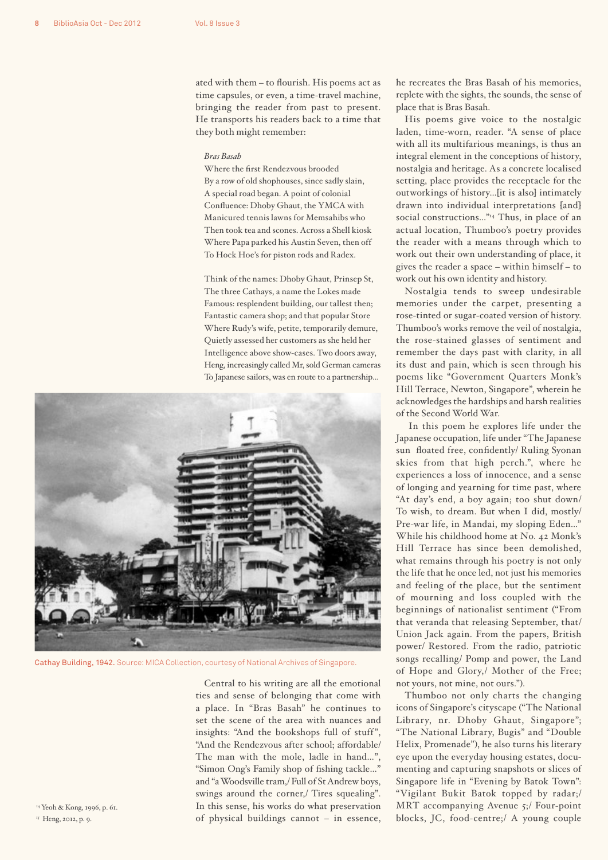ated with them – to flourish. His poems act as time capsules, or even, a time-travel machine, bringing the reader from past to present. He transports his readers back to a time that they both might remember:

#### *Bras Basah*

Where the first Rendezvous brooded By a row of old shophouses, since sadly slain, A special road began. A point of colonial Confluence: Dhoby Ghaut, the YMCA with Manicured tennis lawns for Memsahibs who Then took tea and scones. Across a Shell kiosk Where Papa parked his Austin Seven, then off To Hock Hoe's for piston rods and Radex.

Think of the names: Dhoby Ghaut, Prinsep St, The three Cathays, a name the Lokes made Famous: resplendent building, our tallest then; Fantastic camera shop; and that popular Store Where Rudy's wife, petite, temporarily demure, Quietly assessed her customers as she held her Intelligence above show-cases. Two doors away, Heng, increasingly called Mr, sold German cameras To Japanese sailors, was en route to a partnership...



Cathay Building, 1942. Source: MICA Collection, courtesy of National Archives of Singapore.

Central to his writing are all the emotional ties and sense of belonging that come with a place. In "Bras Basah" he continues to set the scene of the area with nuances and insights: "And the bookshops full of stuff", "And the Rendezvous after school; affordable/ The man with the mole, ladle in hand…", "Simon Ong's Family shop of fishing tackle…" and "a Woodsville tram,/ Full of St Andrew boys, swings around the corner,/ Tires squealing". In this sense, his works do what preservation of physical buildings cannot – in essence, he recreates the Bras Basah of his memories, replete with the sights, the sounds, the sense of place that is Bras Basah.

His poems give voice to the nostalgic laden, time-worn, reader. "A sense of place with all its multifarious meanings, is thus an integral element in the conceptions of history, nostalgia and heritage. As a concrete localised setting, place provides the receptacle for the outworkings of history…[it is also] intimately drawn into individual interpretations [and] social constructions..."<sup>14</sup> Thus, in place of an actual location, Thumboo's poetry provides the reader with a means through which to work out their own understanding of place, it gives the reader a space – within himself – to work out his own identity and history.

Nostalgia tends to sweep undesirable memories under the carpet, presenting a rose-tinted or sugar-coated version of history. Thumboo's works remove the veil of nostalgia, the rose-stained glasses of sentiment and remember the days past with clarity, in all its dust and pain, which is seen through his poems like "Government Quarters Monk's Hill Terrace, Newton, Singapore", wherein he acknowledges the hardships and harsh realities of the Second World War.

 In this poem he explores life under the Japanese occupation, life under "The Japanese sun floated free, confidently/ Ruling Syonan skies from that high perch.", where he experiences a loss of innocence, and a sense of longing and yearning for time past, where "At day's end, a boy again; too shut down/ To wish, to dream. But when I did, mostly/ Pre-war life, in Mandai, my sloping Eden…" While his childhood home at No. 42 Monk's Hill Terrace has since been demolished, what remains through his poetry is not only the life that he once led, not just his memories and feeling of the place, but the sentiment of mourning and loss coupled with the beginnings of nationalist sentiment ("From that veranda that releasing September, that/ Union Jack again. From the papers, British power/ Restored. From the radio, patriotic songs recalling/ Pomp and power, the Land of Hope and Glory,/ Mother of the Free; not yours, not mine, not ours.").

Thumboo not only charts the changing icons of Singapore's cityscape ("The National Library, nr. Dhoby Ghaut, Singapore"; "The National Library, Bugis" and "Double Helix, Promenade"), he also turns his literary eye upon the everyday housing estates, documenting and capturing snapshots or slices of Singapore life in "Evening by Batok Town": "Vigilant Bukit Batok topped by radar;/ MRT accompanying Avenue 5;/ Four-point blocks, JC, food-centre;/ A young couple

14 Yeoh & Kong, 1996, p. 61. <sup>15</sup> Heng, 2012, p. 9.